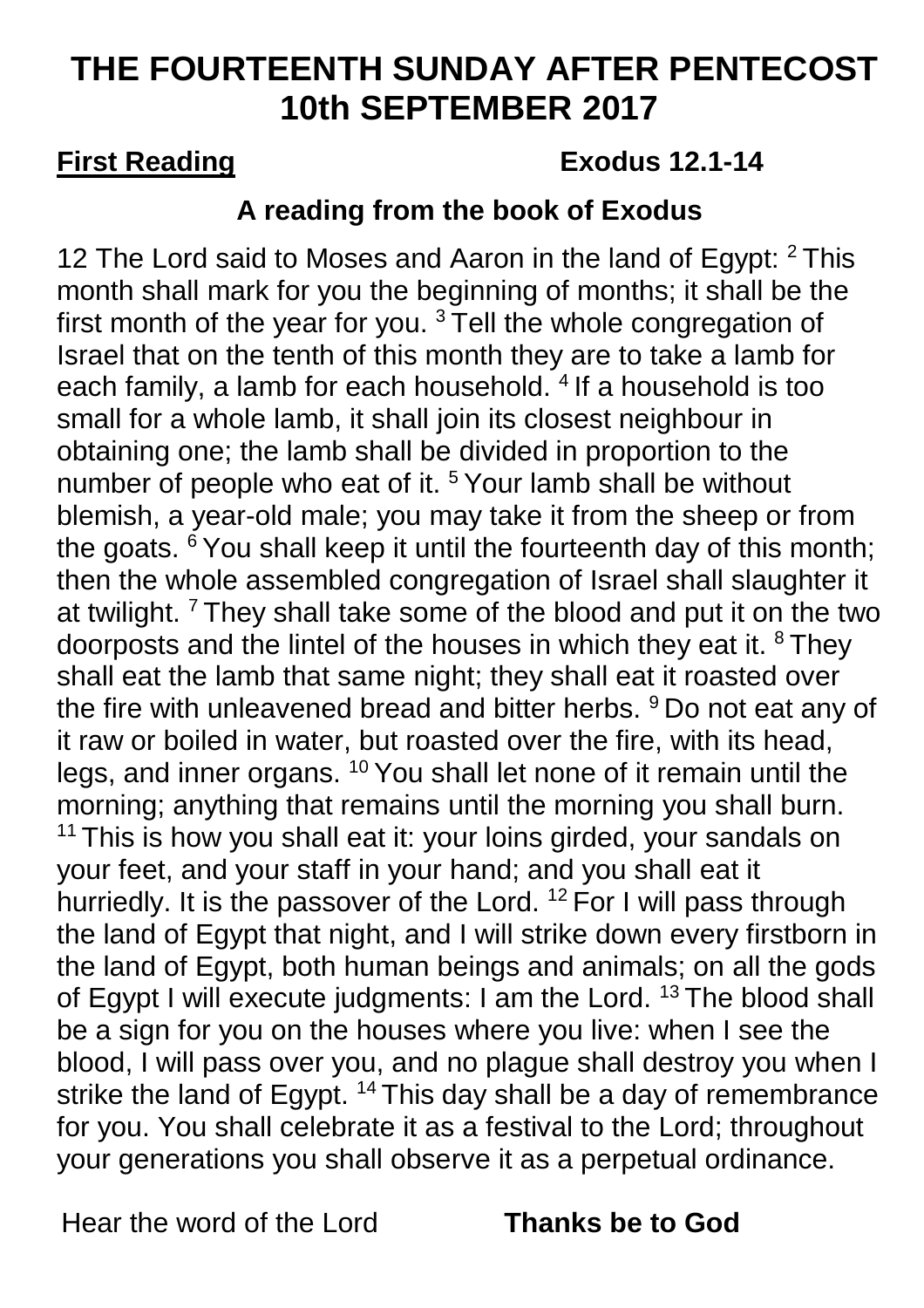# **THE FOURTEENTH SUNDAY AFTER PENTECOST 10th SEPTEMBER 2017**

## **First Reading Exodus 12.1-14**

## **A reading from the book of Exodus**

12 The Lord said to Moses and Aaron in the land of Egypt: <sup>2</sup> This month shall mark for you the beginning of months; it shall be the first month of the year for you.  $3$  Tell the whole congregation of Israel that on the tenth of this month they are to take a lamb for each family, a lamb for each household. <sup>4</sup> If a household is too small for a whole lamb, it shall join its closest neighbour in obtaining one; the lamb shall be divided in proportion to the number of people who eat of it.<sup>5</sup> Your lamb shall be without blemish, a year-old male; you may take it from the sheep or from the goats. <sup>6</sup> You shall keep it until the fourteenth day of this month; then the whole assembled congregation of Israel shall slaughter it at twilight. <sup>7</sup> They shall take some of the blood and put it on the two doorposts and the lintel of the houses in which they eat it. <sup>8</sup> They shall eat the lamb that same night; they shall eat it roasted over the fire with unleavened bread and bitter herbs. <sup>9</sup> Do not eat any of it raw or boiled in water, but roasted over the fire, with its head, legs, and inner organs. <sup>10</sup> You shall let none of it remain until the morning; anything that remains until the morning you shall burn.  $11$  This is how you shall eat it: your loins girded, your sandals on your feet, and your staff in your hand; and you shall eat it hurriedly. It is the passover of the Lord. <sup>12</sup> For I will pass through the land of Egypt that night, and I will strike down every firstborn in the land of Egypt, both human beings and animals; on all the gods of Egypt I will execute judgments: I am the Lord. <sup>13</sup> The blood shall be a sign for you on the houses where you live: when I see the blood, I will pass over you, and no plague shall destroy you when I strike the land of Egypt. <sup>14</sup> This day shall be a day of remembrance for you. You shall celebrate it as a festival to the Lord; throughout your generations you shall observe it as a perpetual ordinance.

Hear the word of the Lord **Thanks be to God**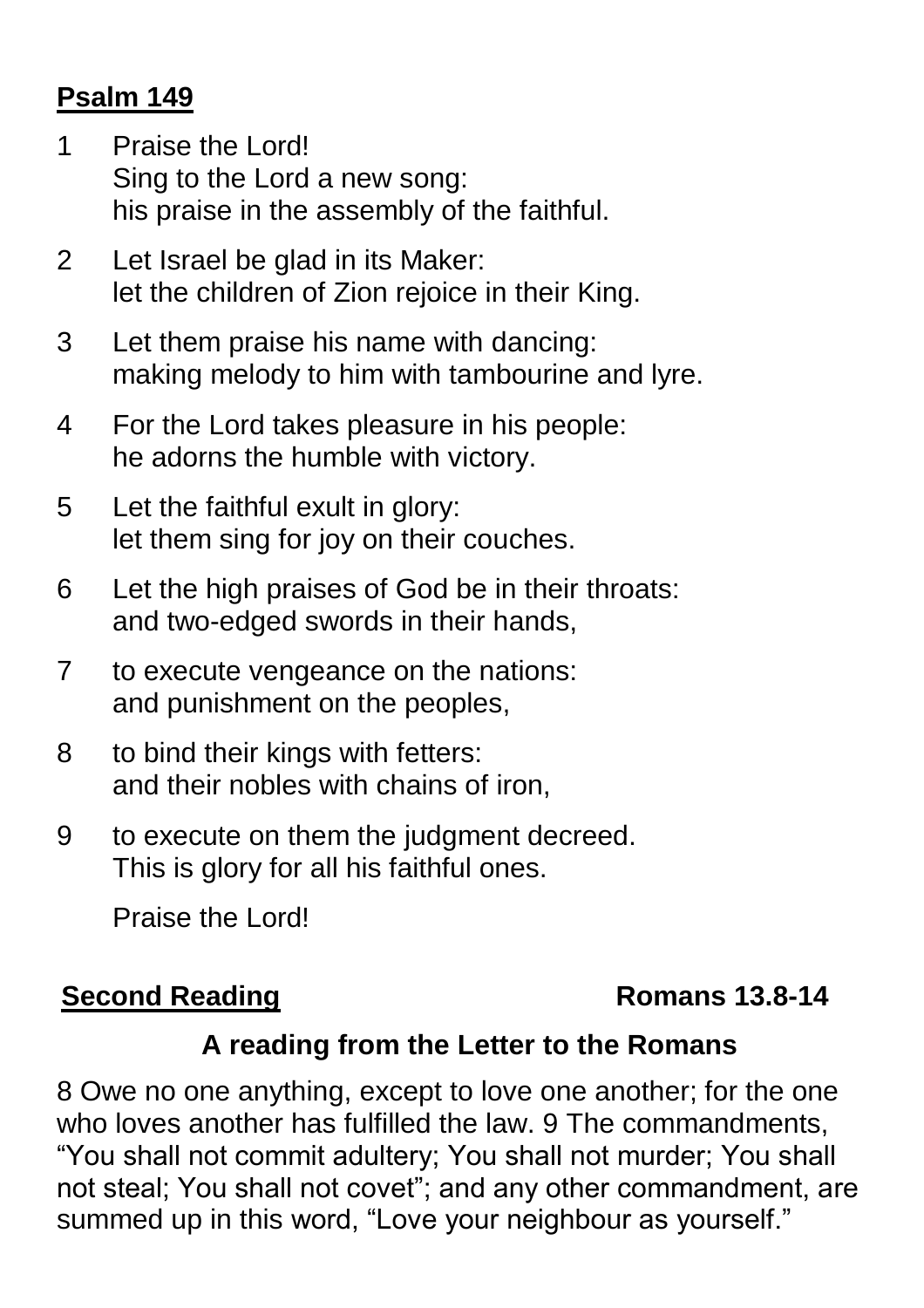## **Psalm 149**

- 1 Praise the Lord! Sing to the Lord a new song: his praise in the assembly of the faithful.
- 2 Let Israel be glad in its Maker: let the children of Zion rejoice in their King.
- 3 Let them praise his name with dancing: making melody to him with tambourine and lyre.
- 4 For the Lord takes pleasure in his people: he adorns the humble with victory.
- 5 Let the faithful exult in glory: let them sing for joy on their couches.
- 6 Let the high praises of God be in their throats: and two-edged swords in their hands,
- 7 to execute vengeance on the nations: and punishment on the peoples,
- 8 to bind their kings with fetters: and their nobles with chains of iron,
- 9 to execute on them the judgment decreed. This is glory for all his faithful ones.

Praise the Lord!

## **Second Reading Second Reading 2018**

## **A reading from the Letter to the Romans**

8 Owe no one anything, except to love one another; for the one who loves another has fulfilled the law. 9 The commandments, "You shall not commit adultery; You shall not murder; You shall not steal; You shall not covet"; and any other commandment, are summed up in this word, "Love your neighbour as yourself."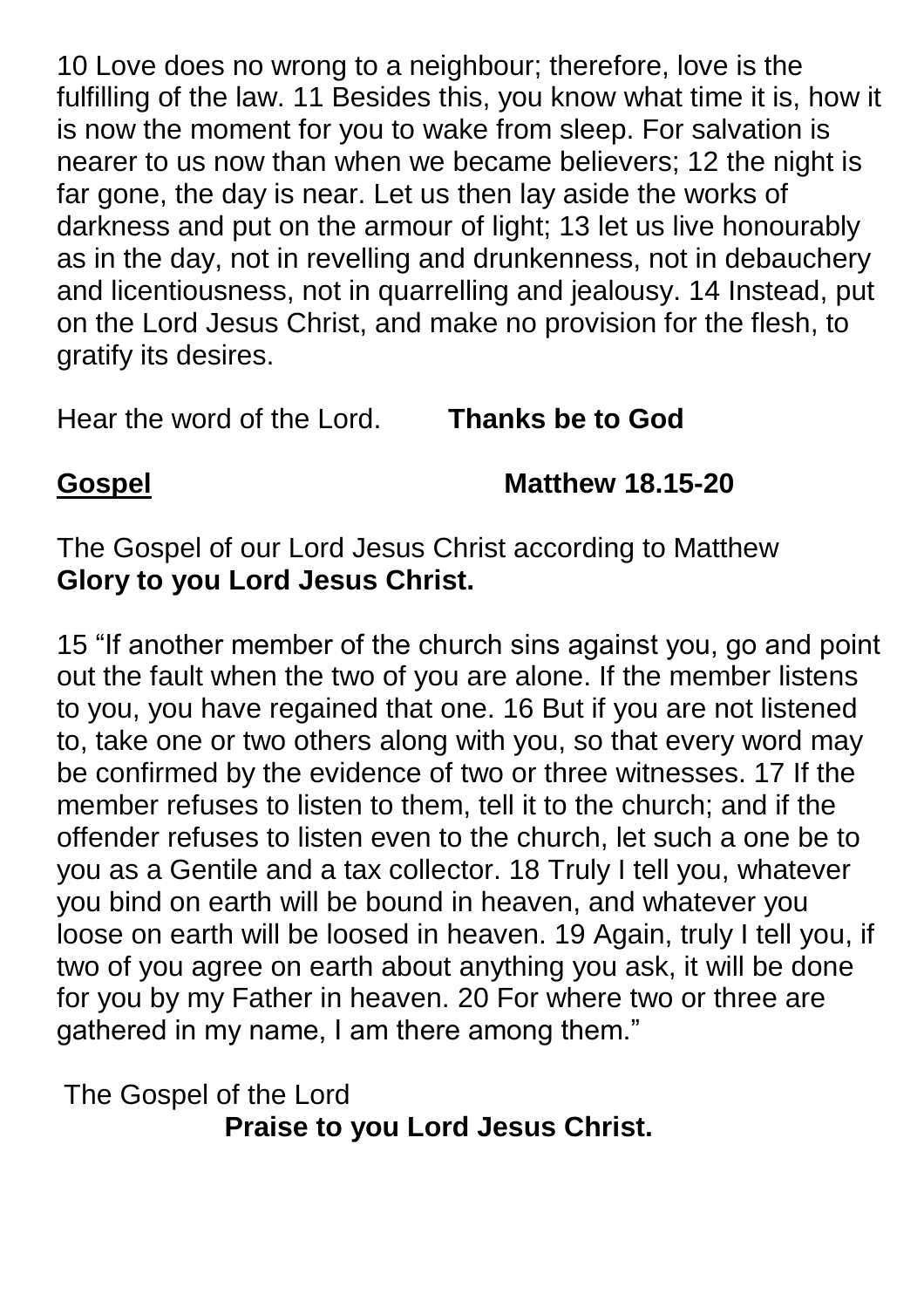10 Love does no wrong to a neighbour; therefore, love is the fulfilling of the law. 11 Besides this, you know what time it is, how it is now the moment for you to wake from sleep. For salvation is nearer to us now than when we became believers; 12 the night is far gone, the day is near. Let us then lay aside the works of darkness and put on the armour of light; 13 let us live honourably as in the day, not in revelling and drunkenness, not in debauchery and licentiousness, not in quarrelling and jealousy. 14 Instead, put on the Lord Jesus Christ, and make no provision for the flesh, to gratify its desires.

Hear the word of the Lord. **Thanks be to God**

**Gospel Matthew 18.15-20**

The Gospel of our Lord Jesus Christ according to Matthew **Glory to you Lord Jesus Christ.**

15 "If another member of the church sins against you, go and point out the fault when the two of you are alone. If the member listens to you, you have regained that one. 16 But if you are not listened to, take one or two others along with you, so that every word may be confirmed by the evidence of two or three witnesses. 17 If the member refuses to listen to them, tell it to the church; and if the offender refuses to listen even to the church, let such a one be to you as a Gentile and a tax collector. 18 Truly I tell you, whatever you bind on earth will be bound in heaven, and whatever you loose on earth will be loosed in heaven. 19 Again, truly I tell you, if two of you agree on earth about anything you ask, it will be done for you by my Father in heaven. 20 For where two or three are gathered in my name, I am there among them."

The Gospel of the Lord **Praise to you Lord Jesus Christ.**